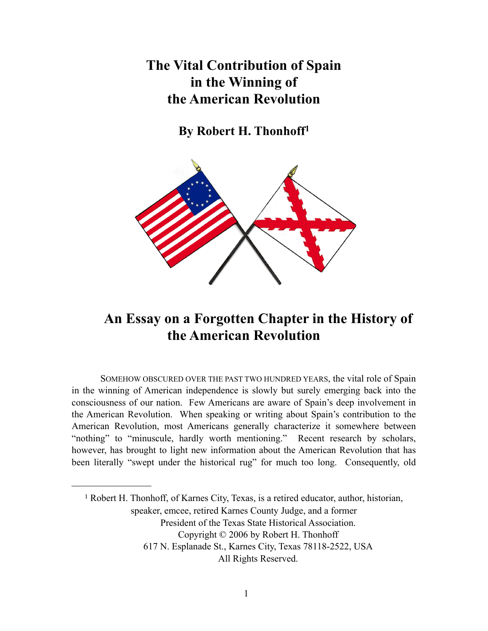## The Vital Contribution of Spain in the Winning of the American Revolution

By Robert H. Thonhoff1



## An Essay on a Forgotten Chapter in the History of the American Revolution

SOMEHOW OBSCURED OVER THE PAST TWO HUNDRED YEARS, the vital role of Spain in the winning of American independence is slowly but surely emerging back into the consciousness of our nation. Few Americans are aware of Spain's deep involvement in the American Revolution. When speaking or writing about Spain's contribution to the American Revolution, most Americans generally characterize it somewhere between "nothing" to "minuscule, hardly worth mentioning." Recent research by scholars, however, has brought to light new information about the American Revolution that has been literally "swept under the historical rug" for much too long. Consequently, old

<sup>1</sup> Robert H. Thonhoff, of Karnes City, Texas, is a retired educator, author, historian, speaker, emcee, retired Karnes County Judge, and a former President of the Texas State Historical Association. Copyright © 2006 by Robert H. Thonhoff 617 N. Esplanade St., Karnes City, Texas 78118-2522, USA All Rights Reserved.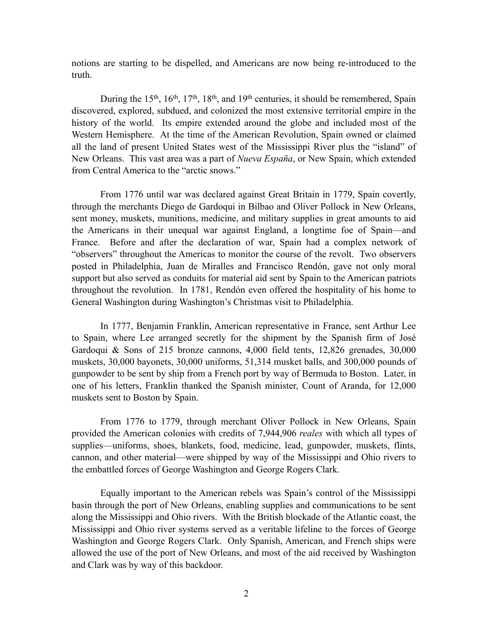notions are starting to be dispelled, and Americans are now being re-introduced to the truth.

During the 15<sup>th</sup>, 16<sup>th</sup>, 17<sup>th</sup>, 18<sup>th</sup>, and 19<sup>th</sup> centuries, it should be remembered, Spain discovered, explored, subdued, and colonized the most extensive territorial empire in the history of the world. Its empire extended around the globe and included most of the Western Hemisphere. At the time of the American Revolution, Spain owned or claimed all the land of present United States west of the Mississippi River plus the "island" of New Orleans. This vast area was a part of *Nueva España*, or New Spain, which extended from Central America to the "arctic snows."

From 1776 until war was declared against Great Britain in 1779, Spain covertly, through the merchants Diego de Gardoqui in Bilbao and Oliver Pollock in New Orleans, sent money, muskets, munitions, medicine, and military supplies in great amounts to aid the Americans in their unequal war against England, a longtime foe of Spain—and France. Before and after the declaration of war, Spain had a complex network of "observers" throughout the Americas to monitor the course of the revolt. Two observers posted in Philadelphia, Juan de Miralles and Francisco Rendón, gave not only moral support but also served as conduits for material aid sent by Spain to the American patriots throughout the revolution. In 1781, Rendón even offered the hospitality of his home to General Washington during Washington's Christmas visit to Philadelphia.

In 1777, Benjamin Franklin, American representative in France, sent Arthur Lee to Spain, where Lee arranged secretly for the shipment by the Spanish firm of José Gardoqui & Sons of 215 bronze cannons, 4,000 field tents, 12,826 grenades, 30,000 muskets, 30,000 bayonets, 30,000 uniforms, 51,314 musket balls, and 300,000 pounds of gunpowder to be sent by ship from a French port by way of Bermuda to Boston. Later, in one of his letters, Franklin thanked the Spanish minister, Count of Aranda, for 12,000 muskets sent to Boston by Spain.

From 1776 to 1779, through merchant Oliver Pollock in New Orleans, Spain provided the American colonies with credits of 7,944,906 *reales* with which all types of supplies—uniforms, shoes, blankets, food, medicine, lead, gunpowder, muskets, flints, cannon, and other material—were shipped by way of the Mississippi and Ohio rivers to the embattled forces of George Washington and George Rogers Clark.

Equally important to the American rebels was Spain's control of the Mississippi basin through the port of New Orleans, enabling supplies and communications to be sent along the Mississippi and Ohio rivers. With the British blockade of the Atlantic coast, the Mississippi and Ohio river systems served as a veritable lifeline to the forces of George Washington and George Rogers Clark. Only Spanish, American, and French ships were allowed the use of the port of New Orleans, and most of the aid received by Washington and Clark was by way of this backdoor.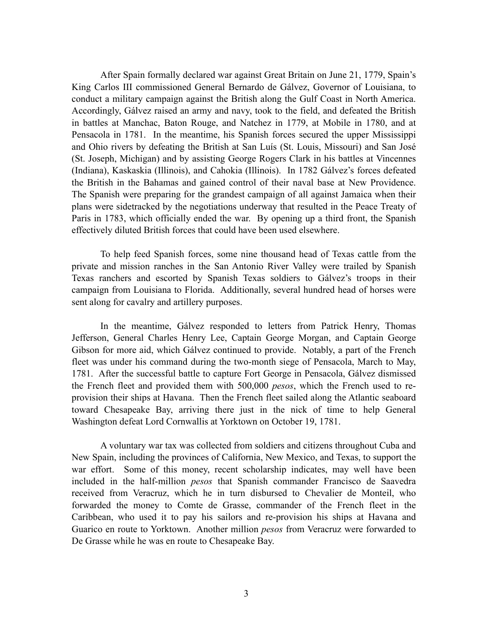After Spain formally declared war against Great Britain on June 21, 1779, Spain's King Carlos III commissioned General Bernardo de Gálvez, Governor of Louisiana, to conduct a military campaign against the British along the Gulf Coast in North America. Accordingly, Gálvez raised an army and navy, took to the field, and defeated the British in battles at Manchac, Baton Rouge, and Natchez in 1779, at Mobile in 1780, and at Pensacola in 1781. In the meantime, his Spanish forces secured the upper Mississippi and Ohio rivers by defeating the British at San Luís (St. Louis, Missouri) and San José (St. Joseph, Michigan) and by assisting George Rogers Clark in his battles at Vincennes (Indiana), Kaskaskia (Illinois), and Cahokia (Illinois). In 1782 Gálvez's forces defeated the British in the Bahamas and gained control of their naval base at New Providence. The Spanish were preparing for the grandest campaign of all against Jamaica when their plans were sidetracked by the negotiations underway that resulted in the Peace Treaty of Paris in 1783, which officially ended the war. By opening up a third front, the Spanish effectively diluted British forces that could have been used elsewhere.

To help feed Spanish forces, some nine thousand head of Texas cattle from the private and mission ranches in the San Antonio River Valley were trailed by Spanish Texas ranchers and escorted by Spanish Texas soldiers to Gálvez's troops in their campaign from Louisiana to Florida. Additionally, several hundred head of horses were sent along for cavalry and artillery purposes.

In the meantime, Gálvez responded to letters from Patrick Henry, Thomas Jefferson, General Charles Henry Lee, Captain George Morgan, and Captain George Gibson for more aid, which Gálvez continued to provide. Notably, a part of the French fleet was under his command during the two-month siege of Pensacola, March to May, 1781. After the successful battle to capture Fort George in Pensacola, Gálvez dismissed the French fleet and provided them with 500,000 *pesos*, which the French used to reprovision their ships at Havana. Then the French fleet sailed along the Atlantic seaboard toward Chesapeake Bay, arriving there just in the nick of time to help General Washington defeat Lord Cornwallis at Yorktown on October 19, 1781.

A voluntary war tax was collected from soldiers and citizens throughout Cuba and New Spain, including the provinces of California, New Mexico, and Texas, to support the war effort. Some of this money, recent scholarship indicates, may well have been included in the half-million *pesos* that Spanish commander Francisco de Saavedra received from Veracruz, which he in turn disbursed to Chevalier de Monteil, who forwarded the money to Comte de Grasse, commander of the French fleet in the Caribbean, who used it to pay his sailors and re-provision his ships at Havana and Guarico en route to Yorktown. Another million *pesos* from Veracruz were forwarded to De Grasse while he was en route to Chesapeake Bay.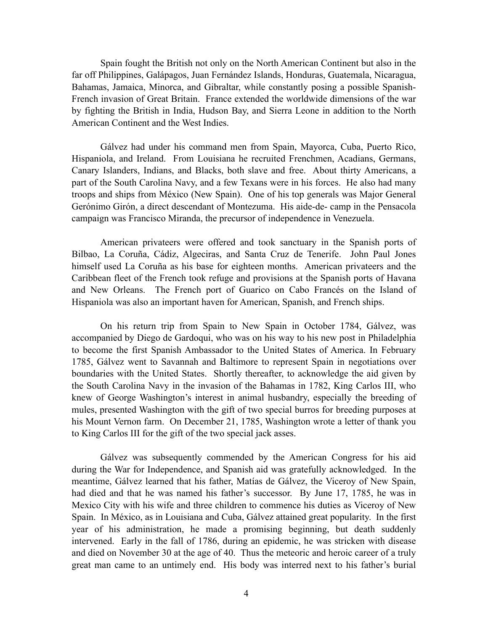Spain fought the British not only on the North American Continent but also in the far off Philippines, Galápagos, Juan Fernández Islands, Honduras, Guatemala, Nicaragua, Bahamas, Jamaica, Minorca, and Gibraltar, while constantly posing a possible Spanish-French invasion of Great Britain. France extended the worldwide dimensions of the war by fighting the British in India, Hudson Bay, and Sierra Leone in addition to the North American Continent and the West Indies.

Gálvez had under his command men from Spain, Mayorca, Cuba, Puerto Rico, Hispaniola, and Ireland. From Louisiana he recruited Frenchmen, Acadians, Germans, Canary Islanders, Indians, and Blacks, both slave and free. About thirty Americans, a part of the South Carolina Navy, and a few Texans were in his forces. He also had many troops and ships from México (New Spain). One of his top generals was Major General Gerónimo Girón, a direct descendant of Montezuma. His aide-de- camp in the Pensacola campaign was Francisco Miranda, the precursor of independence in Venezuela.

American privateers were offered and took sanctuary in the Spanish ports of Bilbao, La Coruña, Cádiz, Algeciras, and Santa Cruz de Tenerife. John Paul Jones himself used La Coruña as his base for eighteen months. American privateers and the Caribbean fleet of the French took refuge and provisions at the Spanish ports of Havana and New Orleans. The French port of Guarico on Cabo Francés on the Island of Hispaniola was also an important haven for American, Spanish, and French ships.

On his return trip from Spain to New Spain in October 1784, Gálvez, was accompanied by Diego de Gardoqui, who was on his way to his new post in Philadelphia to become the first Spanish Ambassador to the United States of America. In February 1785, Gálvez went to Savannah and Baltimore to represent Spain in negotiations over boundaries with the United States. Shortly thereafter, to acknowledge the aid given by the South Carolina Navy in the invasion of the Bahamas in 1782, King Carlos III, who knew of George Washington's interest in animal husbandry, especially the breeding of mules, presented Washington with the gift of two special burros for breeding purposes at his Mount Vernon farm. On December 21, 1785, Washington wrote a letter of thank you to King Carlos III for the gift of the two special jack asses.

Gálvez was subsequently commended by the American Congress for his aid during the War for Independence, and Spanish aid was gratefully acknowledged. In the meantime, Gálvez learned that his father, Matías de Gálvez, the Viceroy of New Spain, had died and that he was named his father's successor. By June 17, 1785, he was in Mexico City with his wife and three children to commence his duties as Viceroy of New Spain. In México, as in Louisiana and Cuba, Gálvez attained great popularity. In the first year of his administration, he made a promising beginning, but death suddenly intervened. Early in the fall of 1786, during an epidemic, he was stricken with disease and died on November 30 at the age of 40. Thus the meteoric and heroic career of a truly great man came to an untimely end. His body was interred next to his father's burial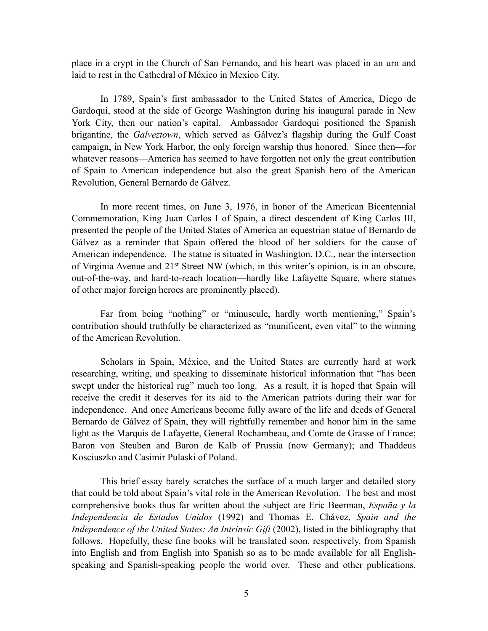place in a crypt in the Church of San Fernando, and his heart was placed in an urn and laid to rest in the Cathedral of México in Mexico City.

In 1789, Spain's first ambassador to the United States of America, Diego de Gardoqui, stood at the side of George Washington during his inaugural parade in New York City, then our nation's capital. Ambassador Gardoqui positioned the Spanish brigantine, the *Galveztown*, which served as Gálvez's flagship during the Gulf Coast campaign, in New York Harbor, the only foreign warship thus honored. Since then—for whatever reasons—America has seemed to have forgotten not only the great contribution of Spain to American independence but also the great Spanish hero of the American Revolution, General Bernardo de Gálvez.

In more recent times, on June 3, 1976, in honor of the American Bicentennial Commemoration, King Juan Carlos I of Spain, a direct descendent of King Carlos III, presented the people of the United States of America an equestrian statue of Bernardo de Gálvez as a reminder that Spain offered the blood of her soldiers for the cause of American independence. The statue is situated in Washington, D.C., near the intersection of Virginia Avenue and 21st Street NW (which, in this writer's opinion, is in an obscure, out-of-the-way, and hard-to-reach location—hardly like Lafayette Square, where statues of other major foreign heroes are prominently placed).

Far from being "nothing" or "minuscule, hardly worth mentioning," Spain's contribution should truthfully be characterized as "munificent, even vital" to the winning of the American Revolution.

Scholars in Spain, México, and the United States are currently hard at work researching, writing, and speaking to disseminate historical information that "has been swept under the historical rug" much too long. As a result, it is hoped that Spain will receive the credit it deserves for its aid to the American patriots during their war for independence. And once Americans become fully aware of the life and deeds of General Bernardo de Gálvez of Spain, they will rightfully remember and honor him in the same light as the Marquis de Lafayette, General Rochambeau, and Comte de Grasse of France; Baron von Steuben and Baron de Kalb of Prussia (now Germany); and Thaddeus Kosciuszko and Casimir Pulaski of Poland.

This brief essay barely scratches the surface of a much larger and detailed story that could be told about Spain's vital role in the American Revolution. The best and most comprehensive books thus far written about the subject are Eric Beerman, *España y la Independencia de Estados Unidos* (1992) and Thomas E. Chávez, *Spain and the Independence of the United States: An Intrinsic Gift* (2002), listed in the bibliography that follows. Hopefully, these fine books will be translated soon, respectively, from Spanish into English and from English into Spanish so as to be made available for all Englishspeaking and Spanish-speaking people the world over. These and other publications,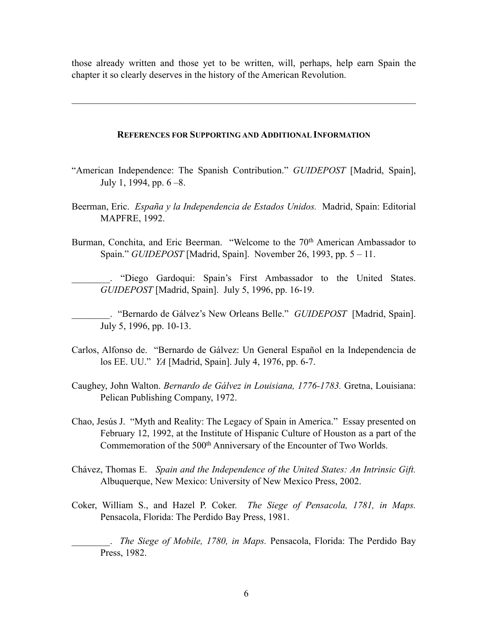those already written and those yet to be written, will, perhaps, help earn Spain the chapter it so clearly deserves in the history of the American Revolution.

 $\mathcal{L}_\text{max}$  , and the contribution of the contribution of the contribution of the contribution of the contribution of the contribution of the contribution of the contribution of the contribution of the contribution of t

## REFERENCES FOR SUPPORTING AND ADDITIONAL INFORMATION

- "American Independence: The Spanish Contribution." *GUIDEPOST* [Madrid, Spain], July 1, 1994, pp. 6 –8.
- Beerman, Eric. *España y la Independencia de Estados Unidos.* Madrid, Spain: Editorial MAPFRE, 1992.
- Burman, Conchita, and Eric Beerman. "Welcome to the 70<sup>th</sup> American Ambassador to Spain." *GUIDEPOST* [Madrid, Spain]. November 26, 1993, pp. 5 – 11.

"Diego Gardoqui: Spain's First Ambassador to the United States. *GUIDEPOST* [Madrid, Spain]. July 5, 1996, pp. 16-19.

\_\_\_\_\_\_\_\_. "Bernardo de Gálvez's New Orleans Belle." *GUIDEPOST* [Madrid, Spain]. July 5, 1996, pp. 10-13.

- Carlos, Alfonso de. "Bernardo de Gálvez: Un General Español en la Independencia de los EE. UU." *YA* [Madrid, Spain]. July 4, 1976, pp. 6-7.
- Caughey, John Walton. *Bernardo de Gálvez in Louisiana, 1776-1783.* Gretna, Louisiana: Pelican Publishing Company, 1972.
- Chao, Jesús J. "Myth and Reality: The Legacy of Spain in America." Essay presented on February 12, 1992, at the Institute of Hispanic Culture of Houston as a part of the Commemoration of the 500<sup>th</sup> Anniversary of the Encounter of Two Worlds.
- Chávez, Thomas E. *Spain and the Independence of the United States: An Intrinsic Gift.* Albuquerque, New Mexico: University of New Mexico Press, 2002.
- Coker, William S., and Hazel P. Coker. *The Siege of Pensacola, 1781, in Maps.* Pensacola, Florida: The Perdido Bay Press, 1981.

\_\_\_\_\_\_\_\_. *The Siege of Mobile, 1780, in Maps.* Pensacola, Florida: The Perdido Bay Press, 1982.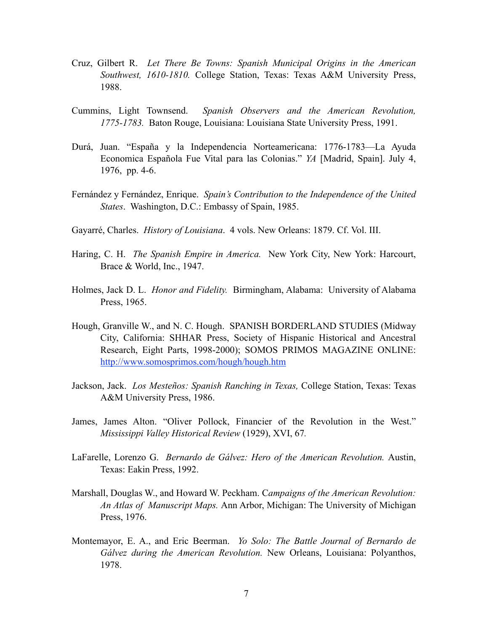- Cruz, Gilbert R. *Let There Be Towns: Spanish Municipal Origins in the American Southwest, 1610-1810.* College Station, Texas: Texas A&M University Press, 1988.
- Cummins, Light Townsend. *Spanish Observers and the American Revolution, 1775-1783.* Baton Rouge, Louisiana: Louisiana State University Press, 1991.
- Durá, Juan. "España y la Independencia Norteamericana: 1776-1783—La Ayuda Economica Española Fue Vital para las Colonias." *YA* [Madrid, Spain]. July 4, 1976, pp. 4-6.
- Fernández y Fernández, Enrique. *Spain's Contribution to the Independence of the United States*. Washington, D.C.: Embassy of Spain, 1985.
- Gayarré, Charles. *History of Louisiana*. 4 vols. New Orleans: 1879. Cf. Vol. III.
- Haring, C. H. *The Spanish Empire in America.* New York City, New York: Harcourt, Brace & World, Inc., 1947.
- Holmes, Jack D. L. *Honor and Fidelity.* Birmingham, Alabama: University of Alabama Press, 1965.
- Hough, Granville W., and N. C. Hough. SPANISH BORDERLAND STUDIES (Midway City, California: SHHAR Press, Society of Hispanic Historical and Ancestral Research, Eight Parts, 1998-2000); SOMOS PRIMOS MAGAZINE ONLINE: http://www.somosprimos.com/hough/hough.htm
- Jackson, Jack. *Los Mesteños: Spanish Ranching in Texas,* College Station, Texas: Texas A&M University Press, 1986.
- James, James Alton. "Oliver Pollock, Financier of the Revolution in the West." *Mississippi Valley Historical Review* (1929), XVI, 67*.*
- LaFarelle, Lorenzo G. *Bernardo de Gálvez: Hero of the American Revolution.* Austin, Texas: Eakin Press, 1992.
- Marshall, Douglas W., and Howard W. Peckham. C*ampaigns of the American Revolution: An Atlas of Manuscript Maps.* Ann Arbor, Michigan: The University of Michigan Press, 1976.
- Montemayor, E. A., and Eric Beerman. *Yo Solo: The Battle Journal of Bernardo de Gálvez during the American Revolution.* New Orleans, Louisiana: Polyanthos, 1978.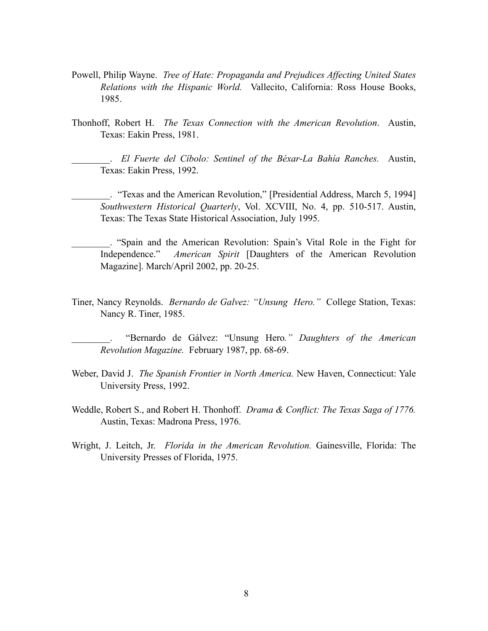- Powell, Philip Wayne. *Tree of Hate: Propaganda and Prejudices Affecting United States Relations with the Hispanic World.* Vallecito, California: Ross House Books, 1985.
- Thonhoff, Robert H. *The Texas Connection with the American Revolution*. Austin, Texas: Eakin Press, 1981.

\_\_\_\_\_\_\_\_. *El Fuerte del Cíbolo: Sentinel of the Béxar-La Bahía Ranches.* Austin, Texas: Eakin Press, 1992.

\_\_\_\_\_\_\_\_. "Texas and the American Revolution," [Presidential Address, March 5, 1994] *Southwestern Historical Quarterly*, Vol. XCVIII, No. 4, pp. 510-517. Austin, Texas: The Texas State Historical Association, July 1995.

\_\_\_\_\_\_\_\_. "Spain and the American Revolution: Spain's Vital Role in the Fight for Independence." *American Spirit* [Daughters of the American Revolution Magazine]. March/April 2002, pp. 20-25.

Tiner, Nancy Reynolds. *Bernardo de Galvez: "Unsung Hero."* College Station, Texas: Nancy R. Tiner, 1985.

\_\_\_\_\_\_\_\_. "Bernardo de Gálvez: "Unsung Hero*." Daughters of the American Revolution Magazine.* February 1987, pp. 68-69.

- Weber, David J. *The Spanish Frontier in North America.* New Haven, Connecticut: Yale University Press, 1992.
- Weddle, Robert S., and Robert H. Thonhoff. *Drama & Conflict: The Texas Saga of 1776.*  Austin, Texas: Madrona Press, 1976.
- Wright, J. Leitch, Jr. *Florida in the American Revolution.* Gainesville, Florida: The University Presses of Florida, 1975.